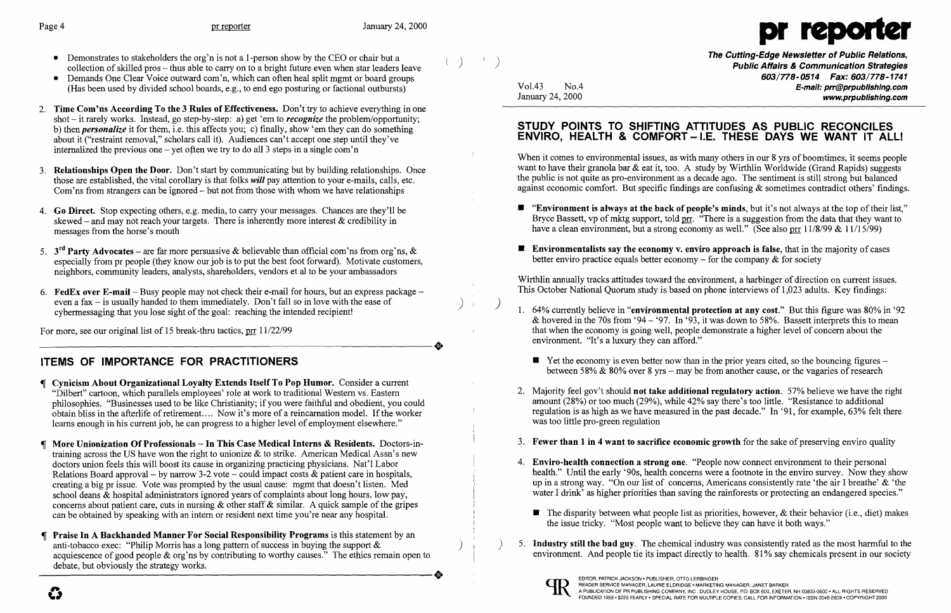

The Cutting-Edge Newsletter of Public Relations,<br>Public Affairs & Communication Strategies *603/778-0514 Fax: 603/778-1741*  Vol.43 No.4 **No.4** No.4 **E-mail: prr@prpublishing.com** www.prpublishing.com

> $\blacksquare$  "Environment is always at the back of people's minds, but it's not always at the top of their list," Bryce Bassett, vp of mktg support, told prr. "There is a suggestion from the data that they want to have a clean environment, but a strong economy as well." (See also prr  $11/8/99 \& 11/15/99$ )

- Demonstrates to stakeholders the org'n is not a 1-person show by the CEO or chair but a collection of skilled pros – thus able to carry on to a bright future even when star leaders leave
- Demands One Clear Voice outward com'n, which can often heal split memt or board groups (Has been used by divided school boards, e.g., to end ego posturing or factional outbursts)
- 2. Time Com'ns According To the 3 Rules of Effectiveness. Don't try to achieve everything in one shot - it rarely works. Instead, go step-by-step: a) get 'em to *recognize* the problem/opportunity; b) then *personalize* it for them, i.e. this affects you; c) finally, show 'em they can do something about it ("restraint removal," scholars call it). Audiences can't accept one step until they've internalized the previous one – yet often we try to do all 3 steps in a single com'n
- 3. **Relationships Open the Door.** Don't start by communicating but by building relationships. Once those are established, the vital corollary is that folks *will* pay attention to your e-mails, calls, etc. Com'ns from strangers can be ignored - but not from those with whom we have relationships
- 4. Go Direct. Stop expecting others, e.g. media, to carry your messages. Chances are they'll be skewed – and may not reach your targets. There is inherently more interest  $\&$  credibility in messages from the horse's mouth
- 5.  $3<sup>rd</sup>$  Party Advocates are far more persuasive & believable than official com'ns from org'ns, & especially from pr people (they know our job is to put the best foot forward). Motivate customers, neighbors, community leaders, analysts, shareholders, vendors et al to be your ambassadors
- 6. **FedEx over E-mail** Busy people may not check their e-mail for hours, but an express package even a fax  $-$  is usually handed to them immediately. Don't fall so in love with the ease of cybermessaging that you lose sight of the goal: reaching the intended recipient!

For more, see our original list of 15 break-thru tactics, prr 11/22/99 For more, see our original list of 15 break-thru tactics,  $\frac{\text{pr}}{\text{pr}}$  11/22/99

### STUDY POINTS TO SHIFTING ATTITUDES AS PUBLIC RECONCILES ENVIRO, HEALTH & COMFORT-I.E. THESE DAYS WE WANT IT ALL!

# ITEMS OF IMPORTANCE FOR PRACTITIONERS

When it comes to environmental issues, as with many others in our 8 yrs of boomtimes, it seems people want to have their granola bar  $\&$  eat it, too. A study by Wirthlin Worldwide (Grand Rapids) suggests the public is not quite as pro-environment as a decade ago. The sentiment is still strong but balanced against economic comfort. But specific findings are confusing & sometimes contradict others' findings.

- 
- $\blacksquare$  Environmentalists say the economy v. enviro approach is false, that in the majority of cases better enviro practice equals better economy  $-$  for the company  $\&$  for society

1. 64% currently believe in "environmental protection at any cost." But this figure was 80% in '92 & hovered in the 70s from '94 - '97. In '93, it was down to 58%. Bassett interprets this to mean that when the economy is going well, people demonstrate a higher level of concern about the

 $\blacksquare$  Yet the economy is even better now than in the prior years cited, so the bouncing figures – between 58% & 80% over 8 yrs – may be from another cause, or the vagaries of research

- Cynicism About Organizational Loyalty Extends Itself To Pop Humor. Consider a current "Dilbert" cartoon, which parallels employees' role at work to traditional Western vs. Eastern philosophies. "Businesses used to be like Christianity; if you were faithful and obedient, you could obtain bliss in the afterlife of retirement.... Now it's more of a reincarnation model. If the worker learns enough in his current job, he can progress to a higher level of employment elsewhere."
- More Unionization Of Professionals In This Case Medical Interns & Residents. Doctors-intraining across the US have won the right to unionize & to strike. American Medical Assn's new doctors union feels this will boost its cause in organizing practicing physicians. Nat'l Labor Relations Board approval – by narrow 3-2 vote – could impact costs  $\&$  patient care in hospitals, creating a big pr issue. Vote was prompted by the usual cause: mgmt that doesn't listen. Med school deans & hospital administrators ignored years of complaints about long hours, low pay, concerns about patient care, cuts in nursing  $\&$  other staff  $\&$  similar. A quick sample of the gripes can be obtained by speaking with an intern or resident next time you're near any hospital.
- Praise In A Backhanded Manner For Social Responsibility Programs is this statement by an anti-tobacco exec: "Philip Morris has a long pattern of success in buying the support  $\&$ and-tooacco exec: Philip Morris has a long pattern of success in ouying the support  $\alpha$ <br>
acquiescence of good people & org'ns by contributing to worthy causes." The ethics remain open to<br>
debate, but obviously the strate debate, but obviously the strategy works.

2. Majority feel gov't should **not take additional regulatory action**. 57% believe we have the right amount (28%) or too much (29%), while 42% say there's too little. "Resistance to additional regulation is as high as we have measured in the past decade." In '91, for example, 63% felt there

3. Fewer than 1 in 4 want to sacrifice economic growth for the sake of preserving enviro quality

health." Until the early '90s, health concerns were a footnote in the enviro survey. Now they show up in a strong way. "On our list of concerns, Americans consistently rate 'the air I breathe' & 'the water I drink' as higher priorities than saving the rainforests or protecting an endangered species."

 $\blacksquare$  The disparity between what people list as priorities, however, & their behavior (i.e., diet) makes

5. Industry still the bad guy. The chemical industry was consistently rated as the most harmful to the environment. And people tie its impact directly to health. 81% say chemicals present in our society

Wirthlin annually tracks attitudes toward the environment, a harbinger of direction on current issues. This October National Quorum study is based on phone interviews of 1,023 adults. Key findings:

- environment. "It's a luxury they can afford."
	-
- was too little pro-green regulation
- 
- 4. Enviro-health connection a strong one. "People now connect environment to their personal
	- the issue tricky. "Most people want to believe they can have it both ways."
-